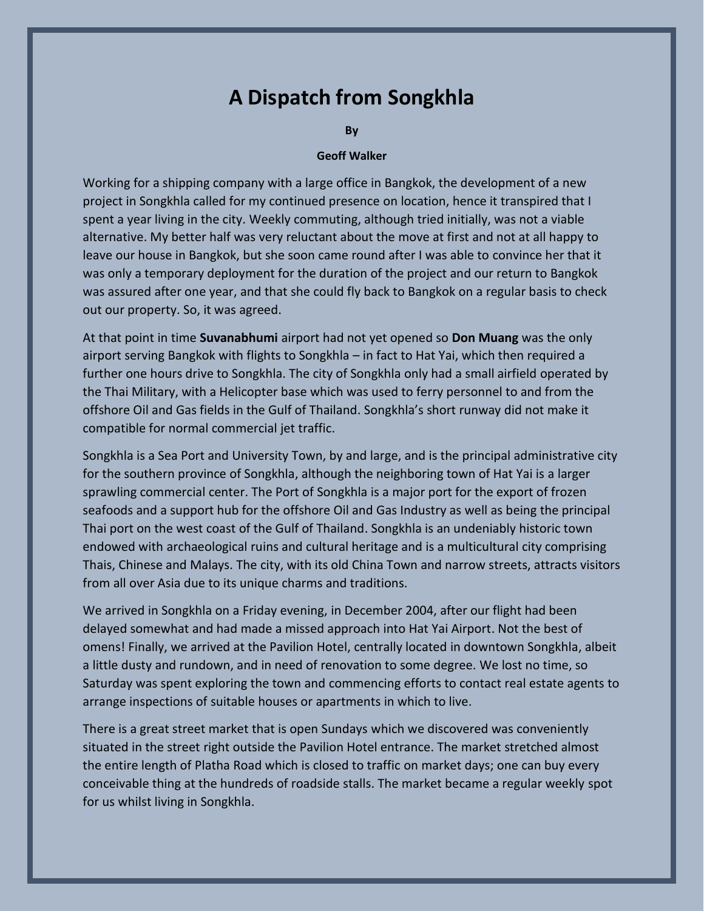## **A Dispatch from Songkhla**

**By**

## **Geoff Walker**

Working for a shipping company with a large office in Bangkok, the development of a new project in Songkhla called for my continued presence on location, hence it transpired that I spent a year living in the city. Weekly commuting, although tried initially, was not a viable alternative. My better half was very reluctant about the move at first and not at all happy to leave our house in Bangkok, but she soon came round after I was able to convince her that it was only a temporary deployment for the duration of the project and our return to Bangkok was assured after one year, and that she could fly back to Bangkok on a regular basis to check out our property. So, it was agreed.

At that point in time **Suvanabhumi** airport had not yet opened so **Don Muang** was the only airport serving Bangkok with flights to Songkhla – in fact to Hat Yai, which then required a further one hours drive to Songkhla. The city of Songkhla only had a small airfield operated by the Thai Military, with a Helicopter base which was used to ferry personnel to and from the offshore Oil and Gas fields in the Gulf of Thailand. Songkhla's short runway did not make it compatible for normal commercial jet traffic.

Songkhla is a Sea Port and University Town, by and large, and is the principal administrative city for the southern province of Songkhla, although the neighboring town of Hat Yai is a larger sprawling commercial center. The Port of Songkhla is a major port for the export of frozen seafoods and a support hub for the offshore Oil and Gas Industry as well as being the principal Thai port on the west coast of the Gulf of Thailand. Songkhla is an undeniably historic town endowed with archaeological ruins and cultural heritage and is a multicultural city comprising Thais, Chinese and Malays. The city, with its old China Town and narrow streets, attracts visitors from all over Asia due to its unique charms and traditions.

We arrived in Songkhla on a Friday evening, in December 2004, after our flight had been delayed somewhat and had made a missed approach into Hat Yai Airport. Not the best of omens! Finally, we arrived at the Pavilion Hotel, centrally located in downtown Songkhla, albeit a little dusty and rundown, and in need of renovation to some degree. We lost no time, so Saturday was spent exploring the town and commencing efforts to contact real estate agents to arrange inspections of suitable houses or apartments in which to live.

There is a great street market that is open Sundays which we discovered was conveniently situated in the street right outside the Pavilion Hotel entrance. The market stretched almost the entire length of Platha Road which is closed to traffic on market days; one can buy every conceivable thing at the hundreds of roadside stalls. The market became a regular weekly spot for us whilst living in Songkhla.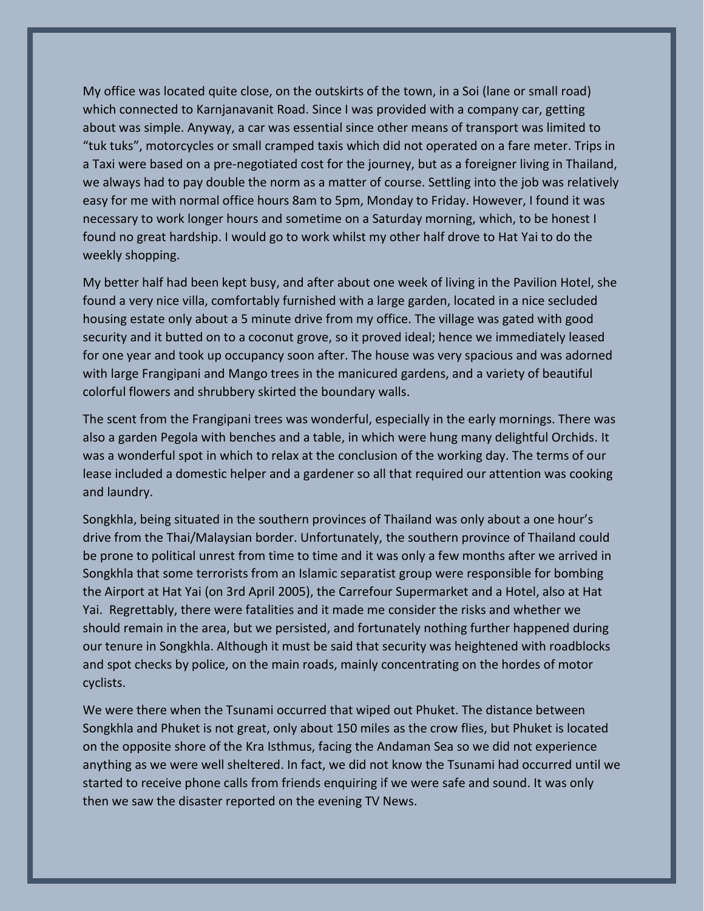My office was located quite close, on the outskirts of the town, in a Soi (lane or small road) which connected to Karnjanavanit Road. Since I was provided with a company car, getting about was simple. Anyway, a car was essential since other means of transport was limited to "tuk tuks", motorcycles or small cramped taxis which did not operated on a fare meter. Trips in a Taxi were based on a pre-negotiated cost for the journey, but as a foreigner living in Thailand, we always had to pay double the norm as a matter of course. Settling into the job was relatively easy for me with normal office hours 8am to 5pm, Monday to Friday. However, I found it was necessary to work longer hours and sometime on a Saturday morning, which, to be honest I found no great hardship. I would go to work whilst my other half drove to Hat Yai to do the weekly shopping.

My better half had been kept busy, and after about one week of living in the Pavilion Hotel, she found a very nice villa, comfortably furnished with a large garden, located in a nice secluded housing estate only about a 5 minute drive from my office. The village was gated with good security and it butted on to a coconut grove, so it proved ideal; hence we immediately leased for one year and took up occupancy soon after. The house was very spacious and was adorned with large Frangipani and Mango trees in the manicured gardens, and a variety of beautiful colorful flowers and shrubbery skirted the boundary walls.

The scent from the Frangipani trees was wonderful, especially in the early mornings. There was also a garden Pegola with benches and a table, in which were hung many delightful Orchids. It was a wonderful spot in which to relax at the conclusion of the working day. The terms of our lease included a domestic helper and a gardener so all that required our attention was cooking and laundry.

Songkhla, being situated in the southern provinces of Thailand was only about a one hour's drive from the Thai/Malaysian border. Unfortunately, the southern province of Thailand could be prone to political unrest from time to time and it was only a few months after we arrived in Songkhla that some terrorists from an Islamic separatist group were responsible for bombing the Airport at Hat Yai (on 3rd April 2005), the Carrefour Supermarket and a Hotel, also at Hat Yai. Regrettably, there were fatalities and it made me consider the risks and whether we should remain in the area, but we persisted, and fortunately nothing further happened during our tenure in Songkhla. Although it must be said that security was heightened with roadblocks and spot checks by police, on the main roads, mainly concentrating on the hordes of motor cyclists.

We were there when the Tsunami occurred that wiped out Phuket. The distance between Songkhla and Phuket is not great, only about 150 miles as the crow flies, but Phuket is located on the opposite shore of the Kra Isthmus, facing the Andaman Sea so we did not experience anything as we were well sheltered. In fact, we did not know the Tsunami had occurred until we started to receive phone calls from friends enquiring if we were safe and sound. It was only then we saw the disaster reported on the evening TV News.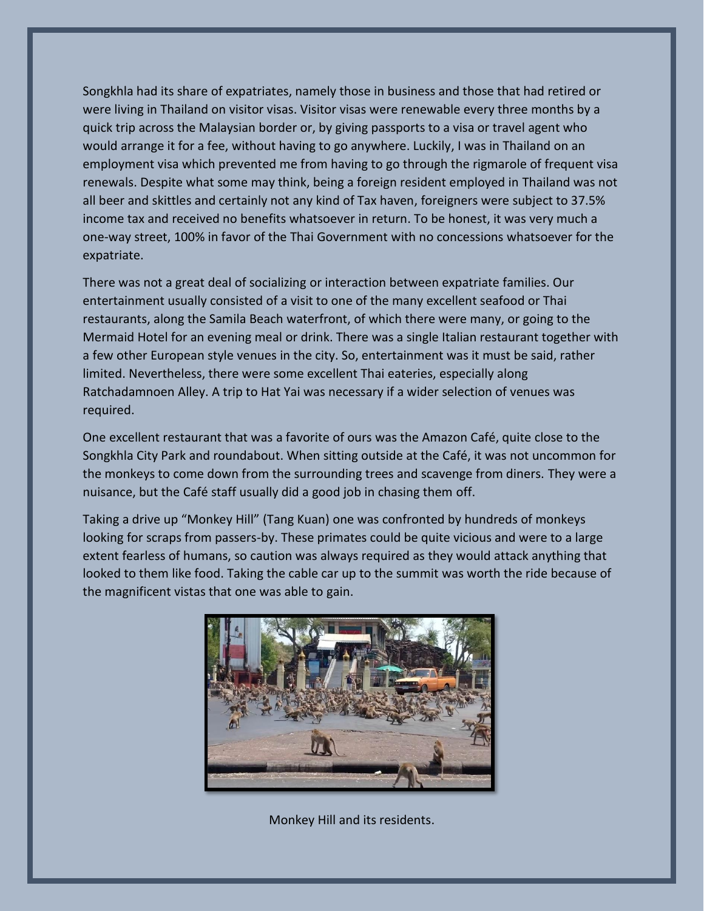Songkhla had its share of expatriates, namely those in business and those that had retired or were living in Thailand on visitor visas. Visitor visas were renewable every three months by a quick trip across the Malaysian border or, by giving passports to a visa or travel agent who would arrange it for a fee, without having to go anywhere. Luckily, I was in Thailand on an employment visa which prevented me from having to go through the rigmarole of frequent visa renewals. Despite what some may think, being a foreign resident employed in Thailand was not all beer and skittles and certainly not any kind of Tax haven, foreigners were subject to 37.5% income tax and received no benefits whatsoever in return. To be honest, it was very much a one-way street, 100% in favor of the Thai Government with no concessions whatsoever for the expatriate.

There was not a great deal of socializing or interaction between expatriate families. Our entertainment usually consisted of a visit to one of the many excellent seafood or Thai restaurants, along the Samila Beach waterfront, of which there were many, or going to the Mermaid Hotel for an evening meal or drink. There was a single Italian restaurant together with a few other European style venues in the city. So, entertainment was it must be said, rather limited. Nevertheless, there were some excellent Thai eateries, especially along Ratchadamnoen Alley. A trip to Hat Yai was necessary if a wider selection of venues was required.

One excellent restaurant that was a favorite of ours was the Amazon Café, quite close to the Songkhla City Park and roundabout. When sitting outside at the Café, it was not uncommon for the monkeys to come down from the surrounding trees and scavenge from diners. They were a nuisance, but the Café staff usually did a good job in chasing them off.

Taking a drive up "Monkey Hill" (Tang Kuan) one was confronted by hundreds of monkeys looking for scraps from passers-by. These primates could be quite vicious and were to a large extent fearless of humans, so caution was always required as they would attack anything that looked to them like food. Taking the cable car up to the summit was worth the ride because of the magnificent vistas that one was able to gain.



Monkey Hill and its residents.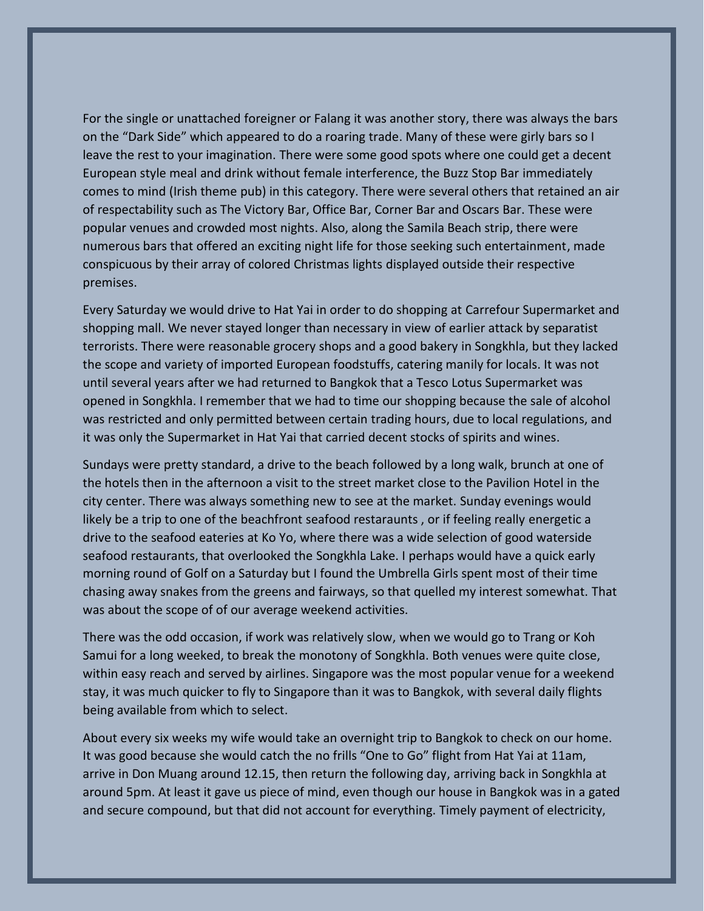For the single or unattached foreigner or Falang it was another story, there was always the bars on the "Dark Side" which appeared to do a roaring trade. Many of these were girly bars so I leave the rest to your imagination. There were some good spots where one could get a decent European style meal and drink without female interference, the Buzz Stop Bar immediately comes to mind (Irish theme pub) in this category. There were several others that retained an air of respectability such as The Victory Bar, Office Bar, Corner Bar and Oscars Bar. These were popular venues and crowded most nights. Also, along the Samila Beach strip, there were numerous bars that offered an exciting night life for those seeking such entertainment, made conspicuous by their array of colored Christmas lights displayed outside their respective premises.

Every Saturday we would drive to Hat Yai in order to do shopping at Carrefour Supermarket and shopping mall. We never stayed longer than necessary in view of earlier attack by separatist terrorists. There were reasonable grocery shops and a good bakery in Songkhla, but they lacked the scope and variety of imported European foodstuffs, catering manily for locals. It was not until several years after we had returned to Bangkok that a Tesco Lotus Supermarket was opened in Songkhla. I remember that we had to time our shopping because the sale of alcohol was restricted and only permitted between certain trading hours, due to local regulations, and it was only the Supermarket in Hat Yai that carried decent stocks of spirits and wines.

Sundays were pretty standard, a drive to the beach followed by a long walk, brunch at one of the hotels then in the afternoon a visit to the street market close to the Pavilion Hotel in the city center. There was always something new to see at the market. Sunday evenings would likely be a trip to one of the beachfront seafood restaraunts , or if feeling really energetic a drive to the seafood eateries at Ko Yo, where there was a wide selection of good waterside seafood restaurants, that overlooked the Songkhla Lake. I perhaps would have a quick early morning round of Golf on a Saturday but I found the Umbrella Girls spent most of their time chasing away snakes from the greens and fairways, so that quelled my interest somewhat. That was about the scope of of our average weekend activities.

There was the odd occasion, if work was relatively slow, when we would go to Trang or Koh Samui for a long weeked, to break the monotony of Songkhla. Both venues were quite close, within easy reach and served by airlines. Singapore was the most popular venue for a weekend stay, it was much quicker to fly to Singapore than it was to Bangkok, with several daily flights being available from which to select.

About every six weeks my wife would take an overnight trip to Bangkok to check on our home. It was good because she would catch the no frills "One to Go" flight from Hat Yai at 11am, arrive in Don Muang around 12.15, then return the following day, arriving back in Songkhla at around 5pm. At least it gave us piece of mind, even though our house in Bangkok was in a gated and secure compound, but that did not account for everything. Timely payment of electricity,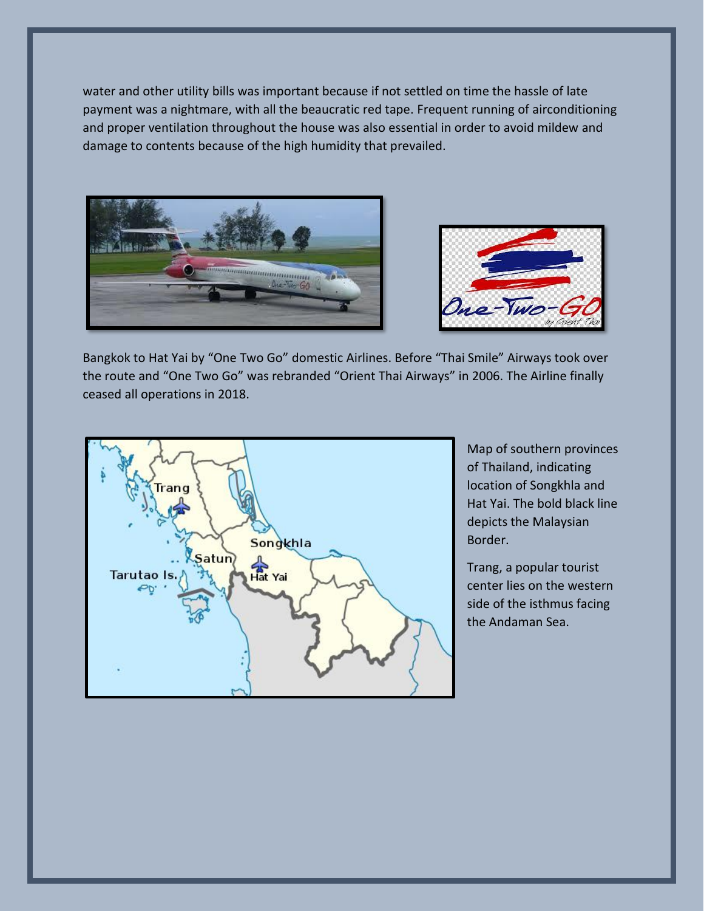water and other utility bills was important because if not settled on time the hassle of late payment was a nightmare, with all the beaucratic red tape. Frequent running of airconditioning and proper ventilation throughout the house was also essential in order to avoid mildew and damage to contents because of the high humidity that prevailed.





Bangkok to Hat Yai by "One Two Go" domestic Airlines. Before "Thai Smile" Airways took over the route and "One Two Go" was rebranded "Orient Thai Airways" in 2006. The Airline finally ceased all operations in 2018.



Map of southern provinces of Thailand, indicating location of Songkhla and Hat Yai. The bold black line depicts the Malaysian Border.

Trang, a popular tourist center lies on the western side of the isthmus facing the Andaman Sea.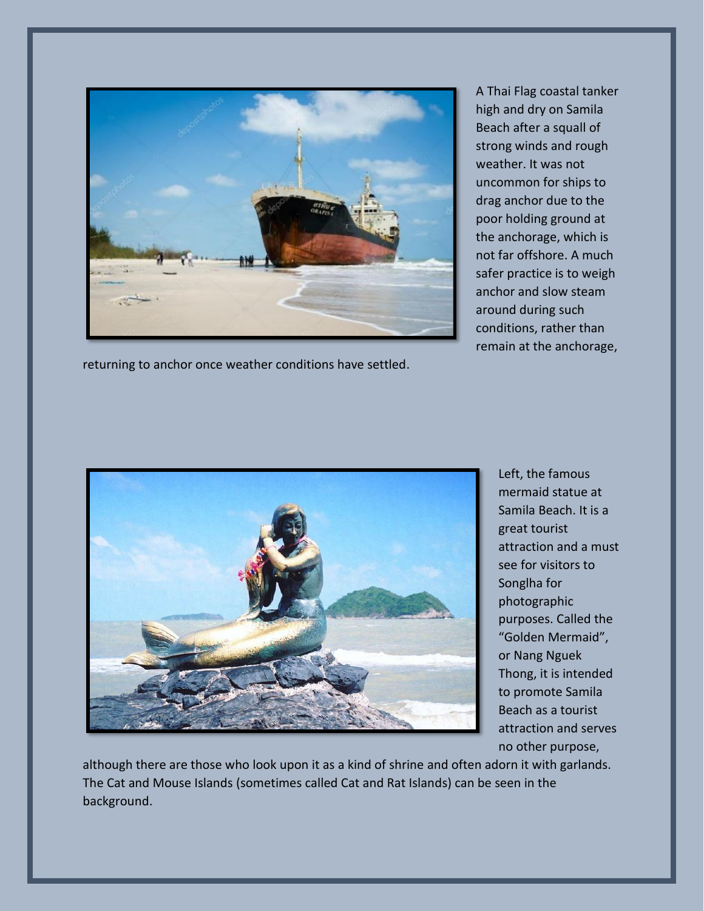

returning to anchor once weather conditions have settled.

A Thai Flag coastal tanker high and dry on Samila Beach after a squall of strong winds and rough weather. It was not uncommon for ships to drag anchor due to the poor holding ground at the anchorage, which is not far offshore. A much safer practice is to weigh anchor and slow steam around during such conditions, rather than remain at the anchorage,



Left, the famous mermaid statue at Samila Beach. It is a great tourist attraction and a must see for visitors to Songlha for photographic purposes. Called the "Golden Mermaid", or Nang Nguek Thong, it is intended to promote Samila Beach as a tourist attraction and serves no other purpose,

although there are those who look upon it as a kind of shrine and often adorn it with garlands. The Cat and Mouse Islands (sometimes called Cat and Rat Islands) can be seen in the background.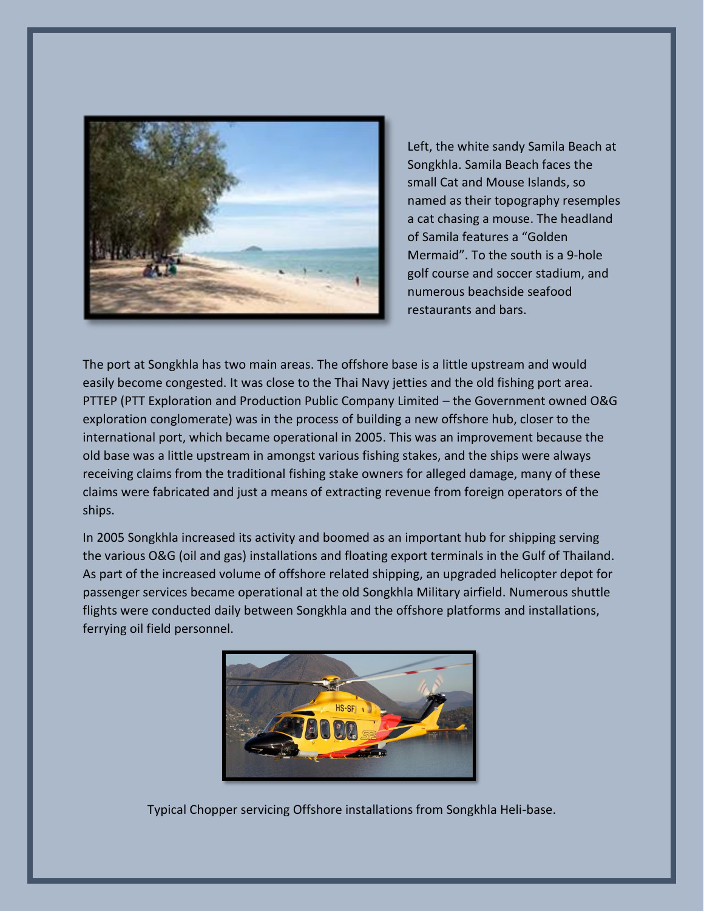

Left, the white sandy Samila Beach at Songkhla. Samila Beach faces the small Cat and Mouse Islands, so named as their topography resemples a cat chasing a mouse. The headland of Samila features a "Golden Mermaid". To the south is a 9-hole golf course and soccer stadium, and numerous beachside seafood restaurants and bars.

The port at Songkhla has two main areas. The offshore base is a little upstream and would easily become congested. It was close to the Thai Navy jetties and the old fishing port area. PTTEP (PTT Exploration and Production Public Company Limited – the Government owned O&G exploration conglomerate) was in the process of building a new offshore hub, closer to the international port, which became operational in 2005. This was an improvement because the old base was a little upstream in amongst various fishing stakes, and the ships were always receiving claims from the traditional fishing stake owners for alleged damage, many of these claims were fabricated and just a means of extracting revenue from foreign operators of the ships.

In 2005 Songkhla increased its activity and boomed as an important hub for shipping serving the various O&G (oil and gas) installations and floating export terminals in the Gulf of Thailand. As part of the increased volume of offshore related shipping, an upgraded helicopter depot for passenger services became operational at the old Songkhla Military airfield. Numerous shuttle flights were conducted daily between Songkhla and the offshore platforms and installations, ferrying oil field personnel.



Typical Chopper servicing Offshore installations from Songkhla Heli-base.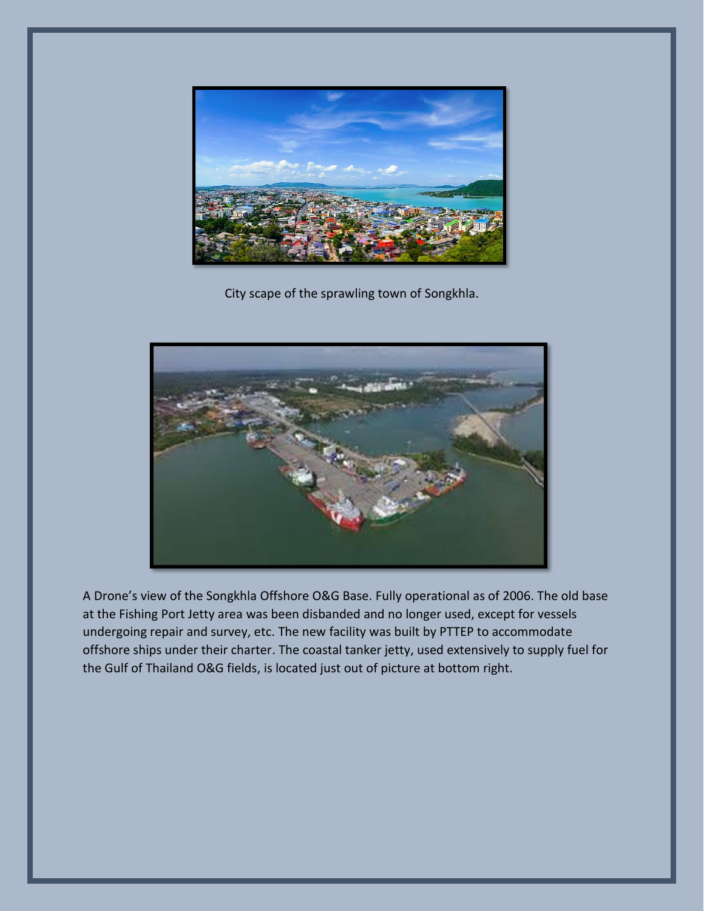

City scape of the sprawling town of Songkhla.



A Drone's view of the Songkhla Offshore O&G Base. Fully operational as of 2006. The old base at the Fishing Port Jetty area was been disbanded and no longer used, except for vessels undergoing repair and survey, etc. The new facility was built by PTTEP to accommodate offshore ships under their charter. The coastal tanker jetty, used extensively to supply fuel for the Gulf of Thailand O&G fields, is located just out of picture at bottom right.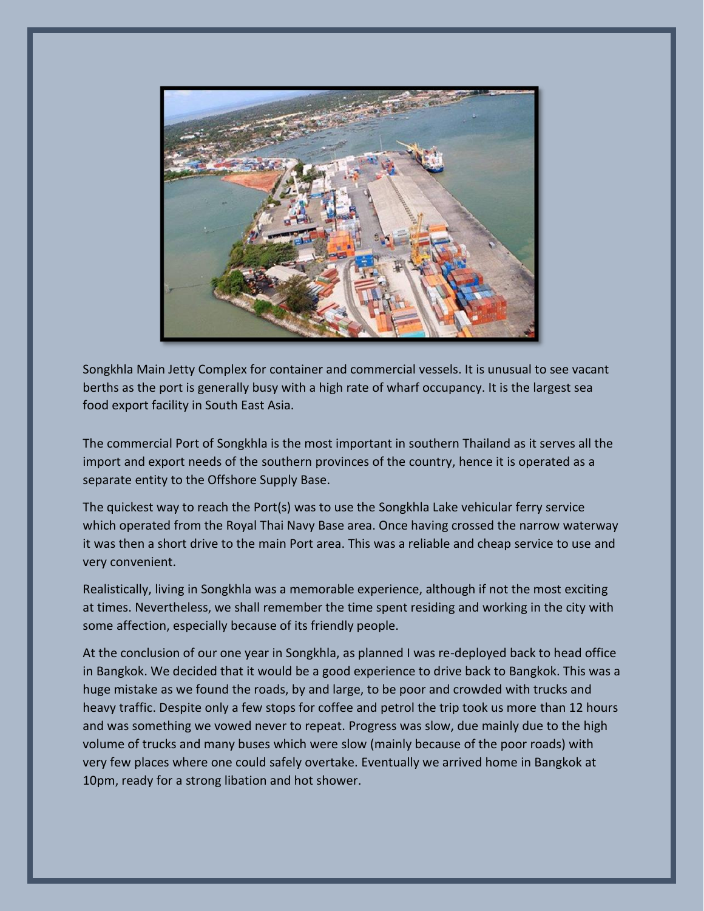

Songkhla Main Jetty Complex for container and commercial vessels. It is unusual to see vacant berths as the port is generally busy with a high rate of wharf occupancy. It is the largest sea food export facility in South East Asia.

The commercial Port of Songkhla is the most important in southern Thailand as it serves all the import and export needs of the southern provinces of the country, hence it is operated as a separate entity to the Offshore Supply Base.

The quickest way to reach the Port(s) was to use the Songkhla Lake vehicular ferry service which operated from the Royal Thai Navy Base area. Once having crossed the narrow waterway it was then a short drive to the main Port area. This was a reliable and cheap service to use and very convenient.

Realistically, living in Songkhla was a memorable experience, although if not the most exciting at times. Nevertheless, we shall remember the time spent residing and working in the city with some affection, especially because of its friendly people.

At the conclusion of our one year in Songkhla, as planned I was re-deployed back to head office in Bangkok. We decided that it would be a good experience to drive back to Bangkok. This was a huge mistake as we found the roads, by and large, to be poor and crowded with trucks and heavy traffic. Despite only a few stops for coffee and petrol the trip took us more than 12 hours and was something we vowed never to repeat. Progress was slow, due mainly due to the high volume of trucks and many buses which were slow (mainly because of the poor roads) with very few places where one could safely overtake. Eventually we arrived home in Bangkok at 10pm, ready for a strong libation and hot shower.